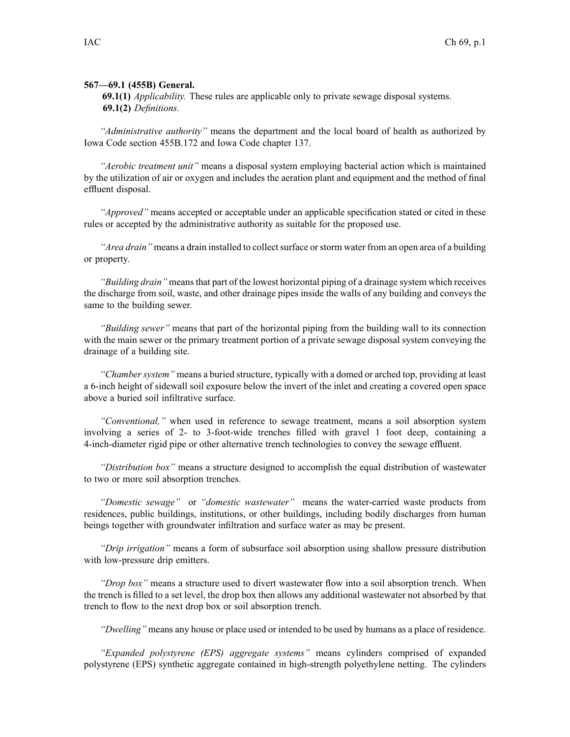## **567—69.1 (455B) General.**

**69.1(1)** *Applicability.* These rules are applicable only to private sewage disposal systems. **69.1(2)** *Definitions.*

*"Administrative authority"* means the department and the local board of health as authorized by Iowa Code section 455B.172 and Iowa Code chapter 137.

*"Aerobic treatment unit"* means <sup>a</sup> disposal system employing bacterial action which is maintained by the utilization of air or oxygen and includes the aeration plant and equipment and the method of final effluent disposal.

*"Approved"* means accepted or acceptable under an applicable specification stated or cited in these rules or accepted by the administrative authority as suitable for the proposed use.

*"Area drain"* means a drain installed to collect surface or storm water from an open area of a building or property.

*"Building drain"* meansthat par<sup>t</sup> of the lowest horizontal piping of <sup>a</sup> drainage system which receives the discharge from soil, waste, and other drainage pipes inside the walls of any building and conveys the same to the building sewer.

*"Building sewer"* means that par<sup>t</sup> of the horizontal piping from the building wall to its connection with the main sewer or the primary treatment portion of <sup>a</sup> private sewage disposal system conveying the drainage of <sup>a</sup> building site.

*"Chamber system"* means <sup>a</sup> buried structure, typically with <sup>a</sup> domed or arched top, providing at least <sup>a</sup> 6-inch height of sidewall soil exposure below the invert of the inlet and creating <sup>a</sup> covered open space above <sup>a</sup> buried soil infiltrative surface.

*"Conventional,"* when used in reference to sewage treatment, means <sup>a</sup> soil absorption system involving <sup>a</sup> series of 2- to 3-foot-wide trenches filled with gravel 1 foot deep, containing <sup>a</sup> 4-inch-diameter rigid pipe or other alternative trench technologies to convey the sewage effluent.

*"Distribution box"* means <sup>a</sup> structure designed to accomplish the equal distribution of wastewater to two or more soil absorption trenches.

*"Domestic sewage"* or *"domestic wastewater"* means the water-carried waste products from residences, public buildings, institutions, or other buildings, including bodily discharges from human beings together with groundwater infiltration and surface water as may be present.

*"Drip irrigation"* means <sup>a</sup> form of subsurface soil absorption using shallow pressure distribution with low-pressure drip emitters.

*"Drop box"* means <sup>a</sup> structure used to divert wastewater flow into <sup>a</sup> soil absorption trench. When the trench is filled to <sup>a</sup> set level, the drop box then allows any additional wastewater not absorbed by that trench to flow to the next drop box or soil absorption trench.

*"Dwelling"* means any house or place used or intended to be used by humans as <sup>a</sup> place of residence.

*"Expanded polystyrene (EPS) aggregate systems"* means cylinders comprised of expanded polystyrene (EPS) synthetic aggregate contained in high-strength polyethylene netting. The cylinders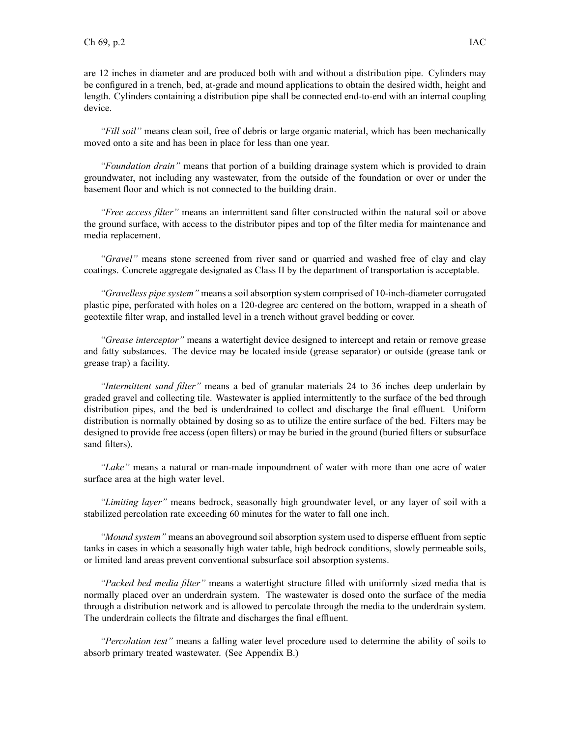are 12 inches in diameter and are produced both with and without <sup>a</sup> distribution pipe. Cylinders may be configured in <sup>a</sup> trench, bed, at-grade and mound applications to obtain the desired width, height and length. Cylinders containing <sup>a</sup> distribution pipe shall be connected end-to-end with an internal coupling device.

*"Fill soil"* means clean soil, free of debris or large organic material, which has been mechanically moved onto <sup>a</sup> site and has been in place for less than one year.

*"Foundation drain"* means that portion of <sup>a</sup> building drainage system which is provided to drain groundwater, not including any wastewater, from the outside of the foundation or over or under the basement floor and which is not connected to the building drain.

*"Free access filter"* means an intermittent sand filter constructed within the natural soil or above the ground surface, with access to the distributor pipes and top of the filter media for maintenance and media replacement.

*"Gravel"* means stone screened from river sand or quarried and washed free of clay and clay coatings. Concrete aggregate designated as Class II by the department of transportation is acceptable.

*"Gravelless pipe system"* means <sup>a</sup> soil absorption system comprised of 10-inch-diameter corrugated plastic pipe, perforated with holes on <sup>a</sup> 120-degree arc centered on the bottom, wrapped in <sup>a</sup> sheath of geotextile filter wrap, and installed level in <sup>a</sup> trench without gravel bedding or cover.

*"Grease interceptor"* means <sup>a</sup> watertight device designed to intercept and retain or remove grease and fatty substances. The device may be located inside (grease separator) or outside (grease tank or grease trap) <sup>a</sup> facility.

*"Intermittent sand filter"* means <sup>a</sup> bed of granular materials 24 to 36 inches deep underlain by graded gravel and collecting tile. Wastewater is applied intermittently to the surface of the bed through distribution pipes, and the bed is underdrained to collect and discharge the final effluent. Uniform distribution is normally obtained by dosing so as to utilize the entire surface of the bed. Filters may be designed to provide free access (open filters) or may be buried in the ground (buried filters or subsurface sand filters).

*"Lake"* means <sup>a</sup> natural or man-made impoundment of water with more than one acre of water surface area at the high water level.

*"Limiting layer"* means bedrock, seasonally high groundwater level, or any layer of soil with <sup>a</sup> stabilized percolation rate exceeding 60 minutes for the water to fall one inch.

*"Mound system"* means an aboveground soil absorption system used to disperse effluent from septic tanks in cases in which <sup>a</sup> seasonally high water table, high bedrock conditions, slowly permeable soils, or limited land areas preven<sup>t</sup> conventional subsurface soil absorption systems.

*"Packed bed media filter"* means <sup>a</sup> watertight structure filled with uniformly sized media that is normally placed over an underdrain system. The wastewater is dosed onto the surface of the media through <sup>a</sup> distribution network and is allowed to percolate through the media to the underdrain system. The underdrain collects the filtrate and discharges the final effluent.

*"Percolation test"* means <sup>a</sup> falling water level procedure used to determine the ability of soils to absorb primary treated wastewater. (See Appendix B.)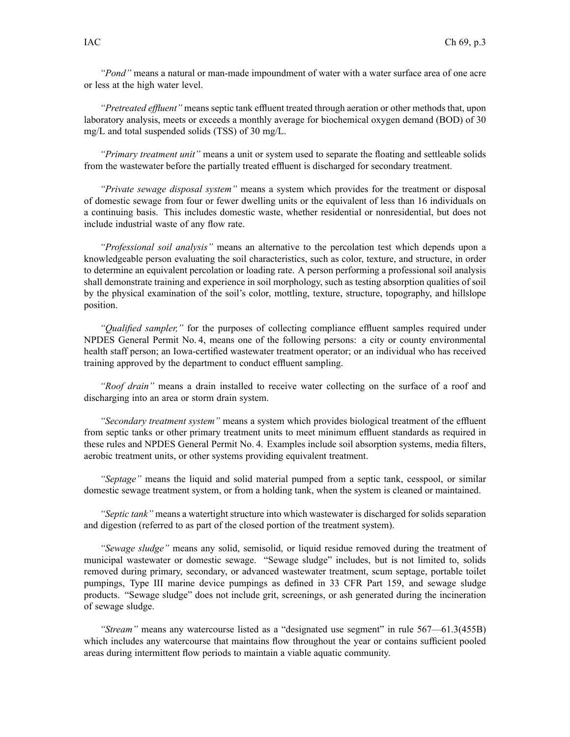*"Pond"* means <sup>a</sup> natural or man-made impoundment of water with <sup>a</sup> water surface area of one acre or less at the high water level.

*"Pretreated effluent"* means septic tank effluent treated through aeration or other methods that, upon laboratory analysis, meets or exceeds <sup>a</sup> monthly average for biochemical oxygen demand (BOD) of 30 mg/L and total suspended solids (TSS) of 30 mg/L.

*"Primary treatment unit"* means <sup>a</sup> unit or system used to separate the floating and settleable solids from the wastewater before the partially treated effluent is discharged for secondary treatment.

*"Private sewage disposal system"* means <sup>a</sup> system which provides for the treatment or disposal of domestic sewage from four or fewer dwelling units or the equivalent of less than 16 individuals on <sup>a</sup> continuing basis. This includes domestic waste, whether residential or nonresidential, but does not include industrial waste of any flow rate.

*"Professional soil analysis"* means an alternative to the percolation test which depends upon <sup>a</sup> knowledgeable person evaluating the soil characteristics, such as color, texture, and structure, in order to determine an equivalent percolation or loading rate. A person performing <sup>a</sup> professional soil analysis shall demonstrate training and experience in soil morphology, such as testing absorption qualities of soil by the physical examination of the soil's color, mottling, texture, structure, topography, and hillslope position.

*"Qualified sampler,"* for the purposes of collecting compliance effluent samples required under NPDES General Permit No. 4, means one of the following persons: <sup>a</sup> city or county environmental health staff person; an Iowa-certified wastewater treatment operator; or an individual who has received training approved by the department to conduct effluent sampling.

*"Roof drain"* means <sup>a</sup> drain installed to receive water collecting on the surface of <sup>a</sup> roof and discharging into an area or storm drain system.

*"Secondary treatment system"* means <sup>a</sup> system which provides biological treatment of the effluent from septic tanks or other primary treatment units to meet minimum effluent standards as required in these rules and NPDES General Permit No. 4. Examples include soil absorption systems, media filters, aerobic treatment units, or other systems providing equivalent treatment.

*"Septage"* means the liquid and solid material pumped from <sup>a</sup> septic tank, cesspool, or similar domestic sewage treatment system, or from <sup>a</sup> holding tank, when the system is cleaned or maintained.

*"Septic tank"* means <sup>a</sup> watertight structure into which wastewater is discharged for solids separation and digestion (referred to as par<sup>t</sup> of the closed portion of the treatment system).

*"Sewage sludge"* means any solid, semisolid, or liquid residue removed during the treatment of municipal wastewater or domestic sewage. "Sewage sludge" includes, but is not limited to, solids removed during primary, secondary, or advanced wastewater treatment, scum septage, portable toilet pumpings, Type III marine device pumpings as defined in 33 CFR Part 159, and sewage sludge products. "Sewage sludge" does not include grit, screenings, or ash generated during the incineration of sewage sludge.

*"Stream"* means any watercourse listed as <sup>a</sup> "designated use segment" in rule 567—61.3(455B) which includes any watercourse that maintains flow throughout the year or contains sufficient pooled areas during intermittent flow periods to maintain <sup>a</sup> viable aquatic community.